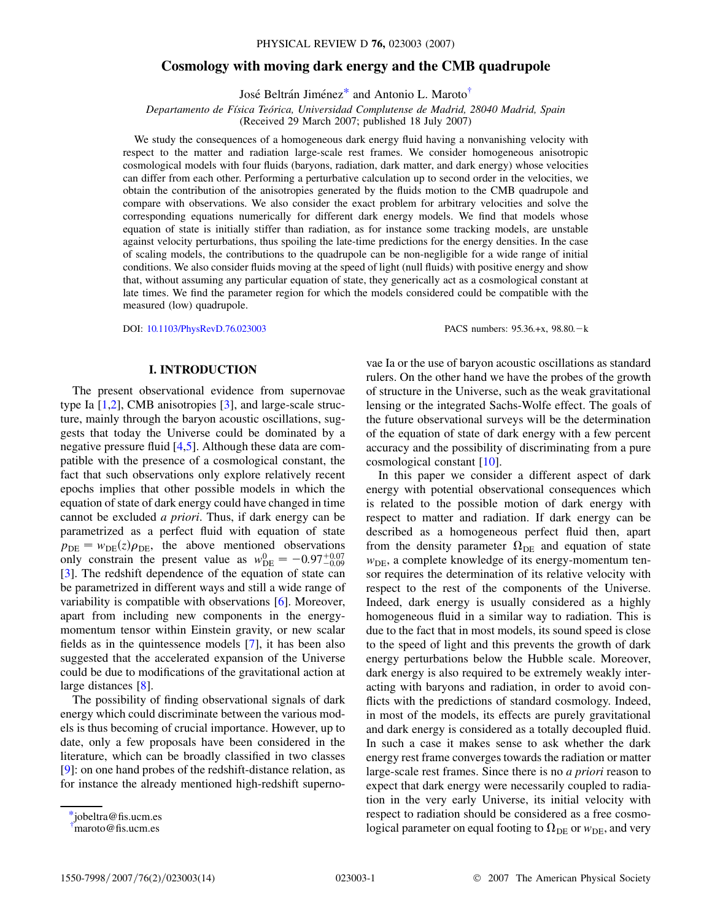# **Cosmology with moving dark energy and the CMB quadrupole**

José Beltrán Jiménez<sup>\*</sup> and Antonio L. Maroto<sup>†</sup>

*Departamento de Fı´sica Teo´rica, Universidad Complutense de Madrid, 28040 Madrid, Spain*

(Received 29 March 2007; published 18 July 2007)

<span id="page-0-2"></span>We study the consequences of a homogeneous dark energy fluid having a nonvanishing velocity with respect to the matter and radiation large-scale rest frames. We consider homogeneous anisotropic cosmological models with four fluids (baryons, radiation, dark matter, and dark energy) whose velocities can differ from each other. Performing a perturbative calculation up to second order in the velocities, we obtain the contribution of the anisotropies generated by the fluids motion to the CMB quadrupole and compare with observations. We also consider the exact problem for arbitrary velocities and solve the corresponding equations numerically for different dark energy models. We find that models whose equation of state is initially stiffer than radiation, as for instance some tracking models, are unstable against velocity perturbations, thus spoiling the late-time predictions for the energy densities. In the case of scaling models, the contributions to the quadrupole can be non-negligible for a wide range of initial conditions. We also consider fluids moving at the speed of light (null fluids) with positive energy and show that, without assuming any particular equation of state, they generically act as a cosmological constant at late times. We find the parameter region for which the models considered could be compatible with the measured (low) quadrupole.

DOI: [10.1103/PhysRevD.76.023003](http://dx.doi.org/10.1103/PhysRevD.76.023003) PACS numbers: 95.36.+x, 98.80.k

# **I. INTRODUCTION**

The present observational evidence from supernovae type Ia [\[1](#page-12-0)[,2\]](#page-12-1), CMB anisotropies [[3\]](#page-12-2), and large-scale structure, mainly through the baryon acoustic oscillations, suggests that today the Universe could be dominated by a negative pressure fluid [\[4](#page-12-3)[,5](#page-12-4)]. Although these data are compatible with the presence of a cosmological constant, the fact that such observations only explore relatively recent epochs implies that other possible models in which the equation of state of dark energy could have changed in time cannot be excluded *a priori*. Thus, if dark energy can be parametrized as a perfect fluid with equation of state  $p_{\text{DE}} = w_{\text{DE}}(z)\rho_{\text{DE}}$ , the above mentioned observations only constrain the present value as  $w_{\text{DE}}^0 = -0.97^{+0.07}_{-0.09}$ [\[3\]](#page-12-2). The redshift dependence of the equation of state can be parametrized in different ways and still a wide range of variability is compatible with observations [\[6](#page-12-5)]. Moreover, apart from including new components in the energymomentum tensor within Einstein gravity, or new scalar fields as in the quintessence models [\[7](#page-12-6)], it has been also suggested that the accelerated expansion of the Universe could be due to modifications of the gravitational action at large distances [[8](#page-12-7)].

The possibility of finding observational signals of dark energy which could discriminate between the various models is thus becoming of crucial importance. However, up to date, only a few proposals have been considered in the literature, which can be broadly classified in two classes [\[9\]](#page-12-8): on one hand probes of the redshift-distance relation, as for instance the already mentioned high-redshift supernovae Ia or the use of baryon acoustic oscillations as standard rulers. On the other hand we have the probes of the growth of structure in the Universe, such as the weak gravitational lensing or the integrated Sachs-Wolfe effect. The goals of the future observational surveys will be the determination of the equation of state of dark energy with a few percent accuracy and the possibility of discriminating from a pure cosmological constant [\[10\]](#page-12-9).

In this paper we consider a different aspect of dark energy with potential observational consequences which is related to the possible motion of dark energy with respect to matter and radiation. If dark energy can be described as a homogeneous perfect fluid then, apart from the density parameter  $\Omega_{DE}$  and equation of state *w*<sub>DE</sub>, a complete knowledge of its energy-momentum tensor requires the determination of its relative velocity with respect to the rest of the components of the Universe. Indeed, dark energy is usually considered as a highly homogeneous fluid in a similar way to radiation. This is due to the fact that in most models, its sound speed is close to the speed of light and this prevents the growth of dark energy perturbations below the Hubble scale. Moreover, dark energy is also required to be extremely weakly interacting with baryons and radiation, in order to avoid conflicts with the predictions of standard cosmology. Indeed, in most of the models, its effects are purely gravitational and dark energy is considered as a totally decoupled fluid. In such a case it makes sense to ask whether the dark energy rest frame converges towards the radiation or matter large-scale rest frames. Since there is no *a priori* reason to expect that dark energy were necessarily coupled to radiation in the very early Universe, its initial velocity with respect to radiation should be considered as a free cosmological parameter on equal footing to  $\Omega_{DE}$  or  $w_{DE}$ , and very

<span id="page-0-0"></span>[<sup>\\*</sup>j](#page-0-2)obeltra@fis.ucm.es

<span id="page-0-1"></span>[<sup>†</sup>](#page-0-2) maroto@fis.ucm.es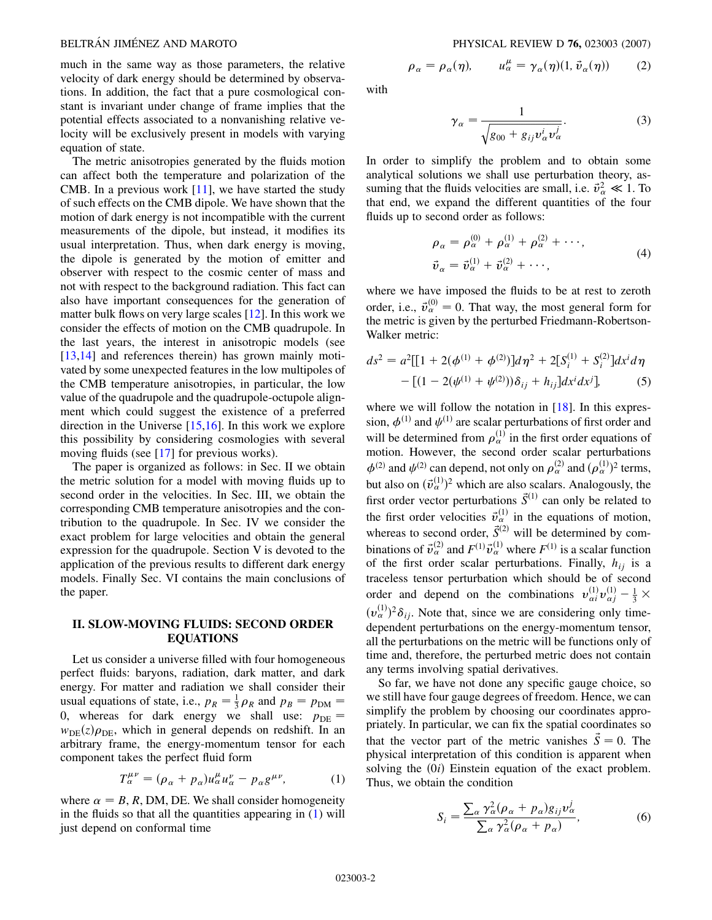much in the same way as those parameters, the relative velocity of dark energy should be determined by observations. In addition, the fact that a pure cosmological constant is invariant under change of frame implies that the potential effects associated to a nonvanishing relative velocity will be exclusively present in models with varying equation of state.

The metric anisotropies generated by the fluids motion can affect both the temperature and polarization of the CMB. In a previous work  $[11]$  $[11]$  $[11]$ , we have started the study of such effects on the CMB dipole. We have shown that the motion of dark energy is not incompatible with the current measurements of the dipole, but instead, it modifies its usual interpretation. Thus, when dark energy is moving, the dipole is generated by the motion of emitter and observer with respect to the cosmic center of mass and not with respect to the background radiation. This fact can also have important consequences for the generation of matter bulk flows on very large scales [[12](#page-12-11)]. In this work we consider the effects of motion on the CMB quadrupole. In the last years, the interest in anisotropic models (see [\[13](#page-12-12)[,14\]](#page-12-13) and references therein) has grown mainly motivated by some unexpected features in the low multipoles of the CMB temperature anisotropies, in particular, the low value of the quadrupole and the quadrupole-octupole alignment which could suggest the existence of a preferred direction in the Universe  $[15,16]$  $[15,16]$ . In this work we explore this possibility by considering cosmologies with several moving fluids (see [[17\]](#page-12-16) for previous works).

The paper is organized as follows: in Sec. II we obtain the metric solution for a model with moving fluids up to second order in the velocities. In Sec. III, we obtain the corresponding CMB temperature anisotropies and the contribution to the quadrupole. In Sec. IV we consider the exact problem for large velocities and obtain the general expression for the quadrupole. Section V is devoted to the application of the previous results to different dark energy models. Finally Sec. VI contains the main conclusions of the paper.

# **II. SLOW-MOVING FLUIDS: SECOND ORDER EQUATIONS**

Let us consider a universe filled with four homogeneous perfect fluids: baryons, radiation, dark matter, and dark energy. For matter and radiation we shall consider their usual equations of state, i.e.,  $p_R = \frac{1}{3} \rho_R$  and  $p_B = p_{DM} =$ 0, whereas for dark energy we shall use:  $p_{DE}$  =  $w_{\text{DE}}(z)\rho_{\text{DE}}$ , which in general depends on redshift. In an arbitrary frame, the energy-momentum tensor for each component takes the perfect fluid form

$$
T_{\alpha}^{\mu\nu} = (\rho_{\alpha} + p_{\alpha})u_{\alpha}^{\mu}u_{\alpha}^{\nu} - p_{\alpha}g^{\mu\nu}, \qquad (1)
$$

<span id="page-1-0"></span>where  $\alpha = B$ , *R*, DM, DE. We shall consider homogeneity in the fluids so that all the quantities appearing in  $(1)$  $(1)$  $(1)$  will just depend on conformal time

$$
\rho_{\alpha} = \rho_{\alpha}(\eta), \qquad u_{\alpha}^{\mu} = \gamma_{\alpha}(\eta)(1, \vec{v}_{\alpha}(\eta)) \tag{2}
$$

with

$$
\gamma_{\alpha} = \frac{1}{\sqrt{g_{00} + g_{ij} v_{\alpha}^i v_{\alpha}^j}}.\tag{3}
$$

In order to simplify the problem and to obtain some analytical solutions we shall use perturbation theory, assuming that the fluids velocities are small, i.e.  $\vec{v}_{\alpha}^2 \ll 1$ . To that end, we expand the different quantities of the four fluids up to second order as follows:

$$
\rho_{\alpha} = \rho_{\alpha}^{(0)} + \rho_{\alpha}^{(1)} + \rho_{\alpha}^{(2)} + \cdots, \n\vec{v}_{\alpha} = \vec{v}_{\alpha}^{(1)} + \vec{v}_{\alpha}^{(2)} + \cdots,
$$
\n(4)

where we have imposed the fluids to be at rest to zeroth order, i.e.,  $\vec{v}_{\alpha}^{(0)} = 0$ . That way, the most general form for the metric is given by the perturbed Friedmann-Robertson-Walker metric:

$$
ds^{2} = a^{2}[[1 + 2(\phi^{(1)} + \phi^{(2)})]d\eta^{2} + 2[S_{i}^{(1)} + S_{i}^{(2)}]dx^{i}d\eta
$$

$$
-[(1 - 2(\psi^{(1)} + \psi^{(2)}))\delta_{ij} + h_{ij}]dx^{i}dx^{j}].
$$
 (5)

where we will follow the notation in  $[18]$  $[18]$  $[18]$ . In this expression,  $\phi^{(1)}$  and  $\psi^{(1)}$  are scalar perturbations of first order and will be determined from  $\rho_\alpha^{(1)}$  in the first order equations of motion. However, the second order scalar perturbations  $\phi^{(2)}$  and  $\psi^{(2)}$  can depend, not only on  $\rho_{\alpha}^{(2)}$  and  $(\rho_{\alpha}^{(1)})^2$  terms, but also on  $(\vec{v}_\alpha^{(1)})^2$  which are also scalars. Analogously, the first order vector perturbations  $\vec{S}^{(1)}$  can only be related to the first order velocities  $\vec{v}_{\alpha}^{(1)}$  in the equations of motion, whereas to second order,  $\vec{S}^{(2)}$  will be determined by combinations of  $\vec{v}_{\alpha}^{(2)}$  and  $F^{(1)}\vec{v}_{\alpha}^{(1)}$  where  $F^{(1)}$  is a scalar function of the first order scalar perturbations. Finally,  $h_{ij}$  is a traceless tensor perturbation which should be of second order and depend on the combinations  $v_{\alpha i}^{(1)} v_{\alpha j}^{(1)} - \frac{1}{3} \times$  $(v_{\alpha}^{(1)})^2 \delta_{ij}$ . Note that, since we are considering only timedependent perturbations on the energy-momentum tensor, all the perturbations on the metric will be functions only of time and, therefore, the perturbed metric does not contain any terms involving spatial derivatives.

So far, we have not done any specific gauge choice, so we still have four gauge degrees of freedom. Hence, we can simplify the problem by choosing our coordinates appropriately. In particular, we can fix the spatial coordinates so that the vector part of the metric vanishes  $\vec{S} = 0$ . The physical interpretation of this condition is apparent when solving the  $(0i)$  Einstein equation of the exact problem. Thus, we obtain the condition

<span id="page-1-1"></span>
$$
S_i = \frac{\sum_{\alpha} \gamma_{\alpha}^2 (\rho_{\alpha} + p_{\alpha}) g_{ij} v_{\alpha}^j}{\sum_{\alpha} \gamma_{\alpha}^2 (\rho_{\alpha} + p_{\alpha})},
$$
(6)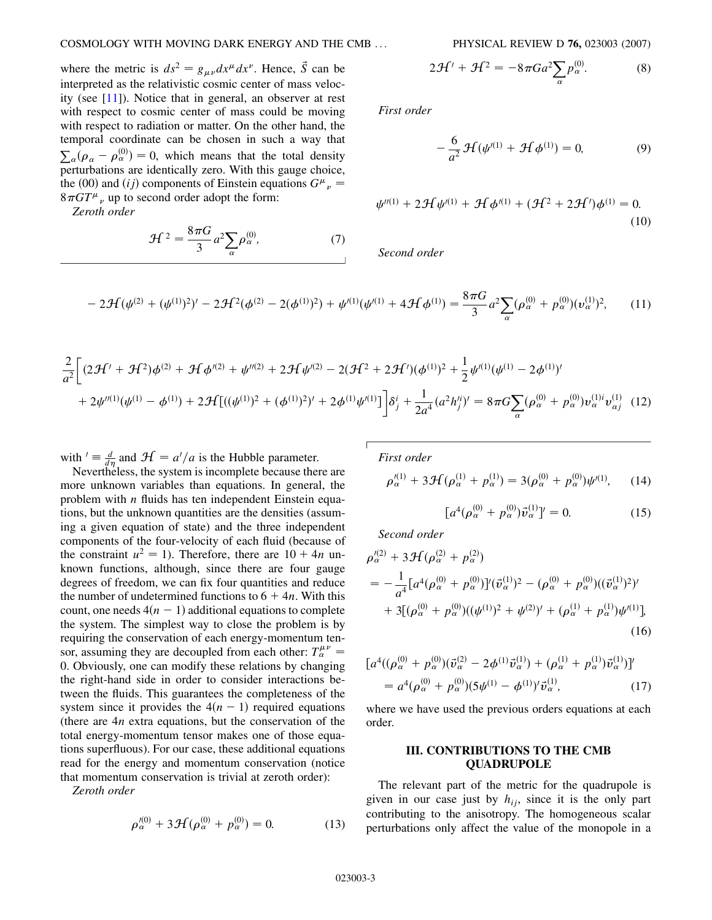where the metric is  $ds^2 = g_{\mu\nu} dx^{\mu} dx^{\nu}$ . Hence,  $\vec{S}$  can be interpreted as the relativistic cosmic center of mass velocity (see [\[11\]](#page-12-10)). Notice that in general, an observer at rest with respect to cosmic center of mass could be moving with respect to radiation or matter. On the other hand, the temporal coordinate can be chosen in such a way that  $\sum_{\alpha} (\rho_{\alpha} - \rho_{\alpha}^{(0)}) = 0$ , which means that the total density perturbations are identically zero. With this gauge choice, the (00) and *(ij)* components of Einstein equations  $G^{\mu}{}_{\nu}$  =  $8\pi GT^{\mu}{}_{\nu}$  up to second order adopt the form:

*Zeroth order*

$$
\mathcal{H}^2 = \frac{8\pi G}{3} a^2 \sum_{\alpha} \rho_{\alpha}^{(0)},\tag{7}
$$

$$
2\mathcal{H}' + \mathcal{H}^2 = -8\pi Ga^2 \sum_{\alpha} p_{\alpha}^{(0)}.
$$
 (8)

*First order*

$$
-\frac{6}{a^2}\mathcal{H}(\psi^{(1)} + \mathcal{H}\phi^{(1)}) = 0,
$$
 (9)

$$
\psi''^{(1)} + 2\mathcal{H}\psi'^{(1)} + \mathcal{H}\phi'^{(1)} + (\mathcal{H}^2 + 2\mathcal{H}')\phi^{(1)} = 0.
$$
\n(10)

*Second order*

<span id="page-2-0"></span>
$$
-2\mathcal{H}(\psi^{(2)}+(\psi^{(1)})^2)'-2\mathcal{H}^2(\phi^{(2)}-2(\phi^{(1)})^2)+\psi'^{(1)}(\psi'^{(1)}+4\mathcal{H}\phi^{(1)})=\frac{8\pi G}{3}a^2\sum_{\alpha}(\rho^{(0)}_{\alpha}+p^{(0)}_{\alpha})(v^{(1)}_{\alpha})^2,\tag{11}
$$

$$
\frac{2}{a^2} \Big[ (2\mathcal{H}' + \mathcal{H}^2)\phi^{(2)} + \mathcal{H}\phi^{(2)} + \psi^{(2)} + 2\mathcal{H}\psi^{(2)} - 2(\mathcal{H}^2 + 2\mathcal{H}')(\phi^{(1)})^2 + \frac{1}{2}\psi^{(1)}(\psi^{(1)} - 2\phi^{(1)})' + 2\psi^{(1)}(\psi^{(1)} - \phi^{(1)}) + 2\mathcal{H}\big[ ((\psi^{(1)})^2 + (\phi^{(1)})^2)' + 2\phi^{(1)}\psi^{(1)}\big] \Big] \delta_j^i + \frac{1}{2a^4} (a^2 h_j^{ii})' = 8\pi G \sum_{\alpha} (\rho_{\alpha}^{(0)} + p_{\alpha}^{(0)}) v_{\alpha}^{(1)i} v_{\alpha j}^{(1)} \tag{12}
$$

with  $d = \frac{d}{d\eta}$  and  $\mathcal{H} = a'/a$  is the Hubble parameter.

Nevertheless, the system is incomplete because there are more unknown variables than equations. In general, the problem with *n* fluids has ten independent Einstein equations, but the unknown quantities are the densities (assuming a given equation of state) and the three independent components of the four-velocity of each fluid (because of the constraint  $u^2 = 1$ ). Therefore, there are  $10 + 4n$  unknown functions, although, since there are four gauge degrees of freedom, we can fix four quantities and reduce the number of undetermined functions to  $6 + 4n$ . With this count, one needs  $4(n - 1)$  additional equations to complete the system. The simplest way to close the problem is by requiring the conservation of each energy-momentum tensor, assuming they are decoupled from each other:  $T^{\mu\nu}_{\alpha}$  = 0. Obviously, one can modify these relations by changing the right-hand side in order to consider interactions between the fluids. This guarantees the completeness of the system since it provides the  $4(n - 1)$  required equations (there are 4*n* extra equations, but the conservation of the total energy-momentum tensor makes one of those equations superfluous). For our case, these additional equations read for the energy and momentum conservation (notice that momentum conservation is trivial at zeroth order):

<span id="page-2-1"></span>*Zeroth order*

$$
\rho_{\alpha}^{\prime(0)} + 3\mathcal{H}(\rho_{\alpha}^{(0)} + p_{\alpha}^{(0)}) = 0. \tag{13}
$$

<span id="page-2-2"></span>*First order*

$$
\rho_{\alpha}^{\prime(1)} + 3\mathcal{H}(\rho_{\alpha}^{(1)} + p_{\alpha}^{(1)}) = 3(\rho_{\alpha}^{(0)} + p_{\alpha}^{(0)})\psi^{\prime(1)}, \qquad (14)
$$

$$
[a^4(\rho_\alpha^{(0)} + p_\alpha^{(0)})\vec{v}_\alpha^{(1)}] = 0.
$$
 (15)

*Second order*

$$
\rho_{\alpha}^{(2)} + 3\mathcal{H}(\rho_{\alpha}^{(2)} + p_{\alpha}^{(2)})
$$
\n
$$
= -\frac{1}{a^{4}} [a^{4}(\rho_{\alpha}^{(0)} + p_{\alpha}^{(0)})]' (\vec{v}_{\alpha}^{(1)})^{2} - (\rho_{\alpha}^{(0)} + p_{\alpha}^{(0)}) ((\vec{v}_{\alpha}^{(1)})^{2})'
$$
\n
$$
+ 3[(\rho_{\alpha}^{(0)} + p_{\alpha}^{(0)})((\psi^{(1)})^{2} + \psi^{(2)})' + (\rho_{\alpha}^{(1)} + p_{\alpha}^{(1)})\psi'^{(1)}],
$$
\n(16)

$$
\begin{split} \left[a^4((\rho_\alpha^{(0)} + p_\alpha^{(0)})(\vec{v}_\alpha^{(2)} - 2\phi^{(1)}\vec{v}_\alpha^{(1)}) + (\rho_\alpha^{(1)} + p_\alpha^{(1)})\vec{v}_\alpha^{(1)})\right] \\ &= a^4(\rho_\alpha^{(0)} + p_\alpha^{(0)})(5\psi^{(1)} - \phi^{(1)})'\vec{v}_\alpha^{(1)}, \end{split} \tag{17}
$$

where we have used the previous orders equations at each order.

# **III. CONTRIBUTIONS TO THE CMB QUADRUPOLE**

The relevant part of the metric for the quadrupole is given in our case just by  $h_{ij}$ , since it is the only part contributing to the anisotropy. The homogeneous scalar perturbations only affect the value of the monopole in a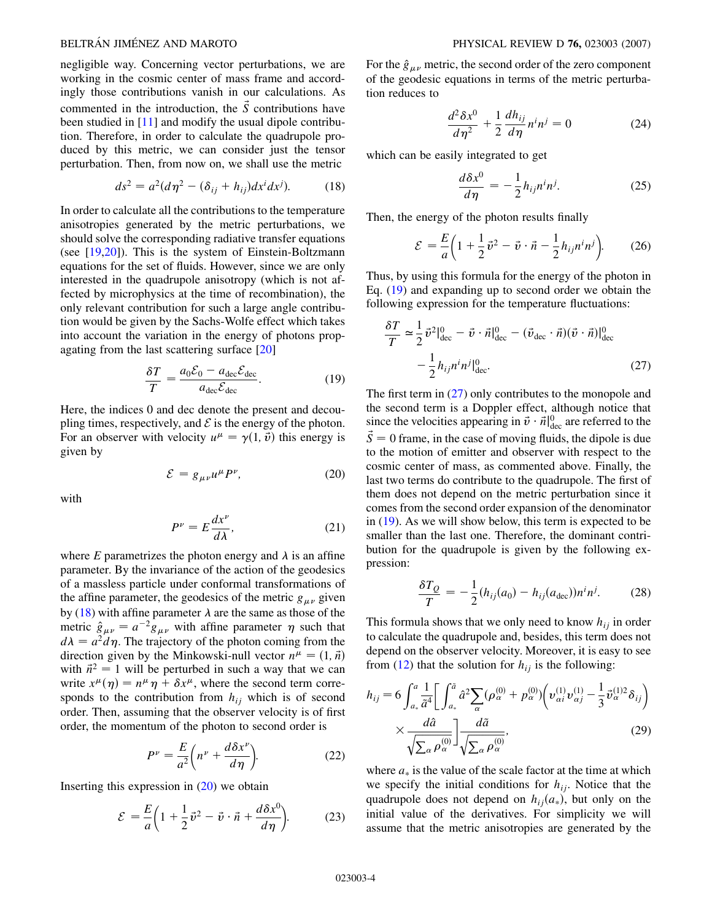negligible way. Concerning vector perturbations, we are working in the cosmic center of mass frame and accordingly those contributions vanish in our calculations. As commented in the introduction, the  $\vec{S}$  contributions have been studied in [[11](#page-12-10)] and modify the usual dipole contribution. Therefore, in order to calculate the quadrupole produced by this metric, we can consider just the tensor perturbation. Then, from now on, we shall use the metric

$$
ds^{2} = a^{2}(d\eta^{2} - (\delta_{ij} + h_{ij})dx^{i}dx^{j}).
$$
 (18)

<span id="page-3-0"></span>In order to calculate all the contributions to the temperature anisotropies generated by the metric perturbations, we should solve the corresponding radiative transfer equations (see [[19](#page-12-18),[20](#page-12-19)]). This is the system of Einstein-Boltzmann equations for the set of fluids. However, since we are only interested in the quadrupole anisotropy (which is not affected by microphysics at the time of recombination), the only relevant contribution for such a large angle contribution would be given by the Sachs-Wolfe effect which takes into account the variation in the energy of photons propagating from the last scattering surface [\[20\]](#page-12-19)

$$
\frac{\delta T}{T} = \frac{a_0 \mathcal{E}_0 - a_{\text{dec}} \mathcal{E}_{\text{dec}}}{a_{\text{dec}} \mathcal{E}_{\text{dec}}}.
$$
 (19)

<span id="page-3-2"></span><span id="page-3-1"></span>Here, the indices 0 and dec denote the present and decoupling times, respectively, and  $\mathcal E$  is the energy of the photon. For an observer with velocity  $u^{\mu} = \gamma(1, \vec{v})$  this energy is given by

$$
\mathcal{E} = g_{\mu\nu} u^{\mu} P^{\nu},\tag{20}
$$

with

$$
P^{\nu} = E \frac{dx^{\nu}}{d\lambda},\tag{21}
$$

where  $E$  parametrizes the photon energy and  $\lambda$  is an affine parameter. By the invariance of the action of the geodesics of a massless particle under conformal transformations of the affine parameter, the geodesics of the metric  $g_{\mu\nu}$  given by [\(18\)](#page-3-0) with affine parameter  $\lambda$  are the same as those of the metric  $\hat{g}_{\mu\nu} = a^{-2}g_{\mu\nu}$  with affine parameter  $\eta$  such that  $d\lambda = a^2 d\eta$ . The trajectory of the photon coming from the direction given by the Minkowski-null vector  $n^{\mu} = (1, \vec{n})$ with  $\vec{n}^2 = 1$  will be perturbed in such a way that we can write  $x^{\mu}(\eta) = n^{\mu} \eta + \delta x^{\mu}$ , where the second term corresponds to the contribution from  $h_{ij}$  which is of second order. Then, assuming that the observer velocity is of first order, the momentum of the photon to second order is

$$
P^{\nu} = \frac{E}{a^2} \left( n^{\nu} + \frac{d \delta x^{\nu}}{d \eta} \right).
$$
 (22)

Inserting this expression in  $(20)$  $(20)$  $(20)$  we obtain

$$
\mathcal{E} = \frac{E}{a} \left( 1 + \frac{1}{2} \vec{v}^2 - \vec{v} \cdot \vec{n} + \frac{d \delta x^0}{d \eta} \right).
$$
 (23)

For the  $\hat{g}_{\mu\nu}$  metric, the second order of the zero component of the geodesic equations in terms of the metric perturbation reduces to

$$
\frac{d^2\delta x^0}{d\eta^2} + \frac{1}{2}\frac{dh_{ij}}{d\eta}n^in^j = 0
$$
 (24)

which can be easily integrated to get

$$
\frac{d\delta x^0}{d\eta} = -\frac{1}{2}h_{ij}n^in^j.
$$
 (25)

Then, the energy of the photon results finally

$$
\mathcal{E} = \frac{E}{a} \left( 1 + \frac{1}{2} \vec{v}^2 - \vec{v} \cdot \vec{n} - \frac{1}{2} h_{ij} n^i n^j \right).
$$
 (26)

<span id="page-3-3"></span>Thus, by using this formula for the energy of the photon in Eq. [\(19\)](#page-3-2) and expanding up to second order we obtain the following expression for the temperature fluctuations:

$$
\frac{\delta T}{T} \simeq \frac{1}{2} \vec{v}^2|_{\text{dec}}^0 - \vec{v} \cdot \vec{n}|_{\text{dec}}^0 - (\vec{v}_{\text{dec}} \cdot \vec{n})(\vec{v} \cdot \vec{n})|_{\text{dec}}^0
$$

$$
-\frac{1}{2} h_{ij} n^i n^j|_{\text{dec}}^0. \tag{27}
$$

The first term in  $(27)$  only contributes to the monopole and the second term is a Doppler effect, although notice that since the velocities appearing in  $\vec{v} \cdot \vec{n}|_{\text{dec}}^0$  are referred to the  $\vec{S} = 0$  frame, in the case of moving fluids, the dipole is due to the motion of emitter and observer with respect to the cosmic center of mass, as commented above. Finally, the last two terms do contribute to the quadrupole. The first of them does not depend on the metric perturbation since it comes from the second order expansion of the denominator in [\(19\)](#page-3-2). As we will show below, this term is expected to be smaller than the last one. Therefore, the dominant contribution for the quadrupole is given by the following expression:

$$
\frac{\delta T_Q}{T} = -\frac{1}{2} (h_{ij}(a_0) - h_{ij}(a_{\text{dec}})) n^i n^j.
$$
 (28)

This formula shows that we only need to know  $h_{ij}$  in order to calculate the quadrupole and, besides, this term does not depend on the observer velocity. Moreover, it is easy to see from ([12](#page-2-0)) that the solution for  $h_{ij}$  is the following:

<span id="page-3-4"></span>
$$
h_{ij} = 6 \int_{a_*}^{a} \frac{1}{\tilde{a}^4} \left[ \int_{a_*}^{\tilde{a}} \hat{a}^2 \sum_{\alpha} (\rho_{\alpha}^{(0)} + p_{\alpha}^{(0)}) \left( \nu_{\alpha i}^{(1)} \nu_{\alpha j}^{(1)} - \frac{1}{3} \tilde{\nu}_{\alpha}^{(1)2} \delta_{ij} \right) \right] \times \frac{d\tilde{a}}{\sqrt{\sum_{\alpha} \rho_{\alpha}^{(0)}}} \frac{d\tilde{a}}{\sqrt{\sum_{\alpha} \rho_{\alpha}^{(0)}}},
$$
(29)

where  $a_*$  is the value of the scale factor at the time at which we specify the initial conditions for  $h_{ij}$ . Notice that the quadrupole does not depend on  $h_{ii}(a_*)$ , but only on the initial value of the derivatives. For simplicity we will assume that the metric anisotropies are generated by the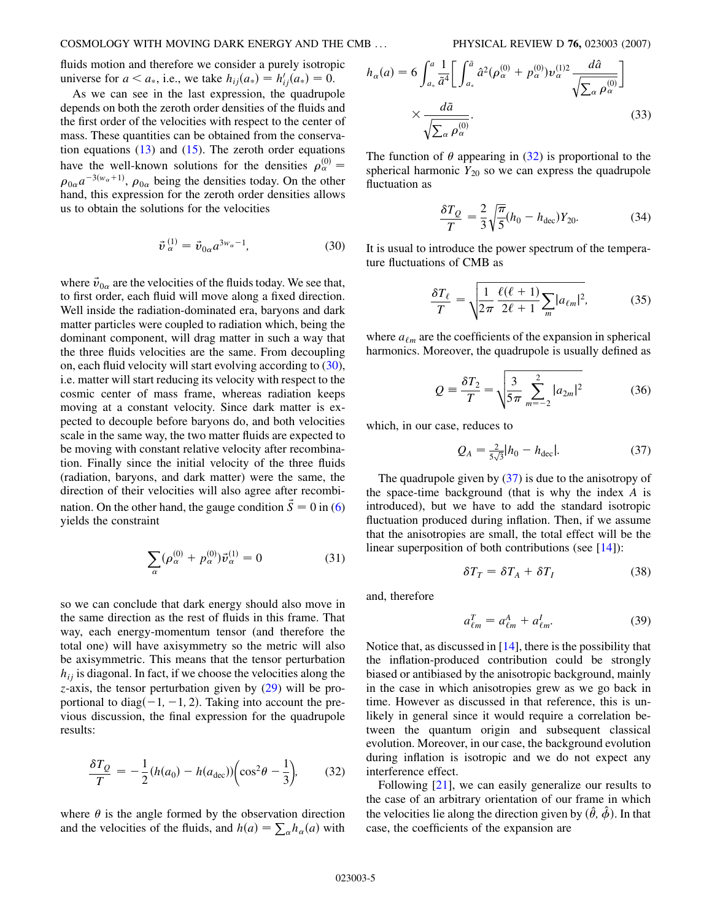fluids motion and therefore we consider a purely isotropic universe for  $a < a_*$ , i.e., we take  $h_{ij}(a_*) = h'_{ij}(a_*) = 0$ .

As we can see in the last expression, the quadrupole depends on both the zeroth order densities of the fluids and the first order of the velocities with respect to the center of mass. These quantities can be obtained from the conservation equations  $(13)$  $(13)$  $(13)$  and  $(15)$ . The zeroth order equations have the well-known solutions for the densities  $\rho_{\alpha}^{(0)} =$  $\rho_{0\alpha}a^{-3(w_{\alpha}+1)}$ ,  $\rho_{0\alpha}$  being the densities today. On the other hand, this expression for the zeroth order densities allows us to obtain the solutions for the velocities

$$
\vec{v}_{\alpha}^{(1)} = \vec{v}_{0\alpha} a^{3w_{\alpha}-1}, \tag{30}
$$

<span id="page-4-0"></span>where  $\vec{v}_{0\alpha}$  are the velocities of the fluids today. We see that, to first order, each fluid will move along a fixed direction. Well inside the radiation-dominated era, baryons and dark matter particles were coupled to radiation which, being the dominant component, will drag matter in such a way that the three fluids velocities are the same. From decoupling on, each fluid velocity will start evolving according to ([30\)](#page-4-0), i.e. matter will start reducing its velocity with respect to the cosmic center of mass frame, whereas radiation keeps moving at a constant velocity. Since dark matter is expected to decouple before baryons do, and both velocities scale in the same way, the two matter fluids are expected to be moving with constant relative velocity after recombination. Finally since the initial velocity of the three fluids (radiation, baryons, and dark matter) were the same, the direction of their velocities will also agree after recombination. On the other hand, the gauge condition  $\vec{S} = 0$  in [\(6\)](#page-1-1) yields the constraint

<span id="page-4-4"></span>
$$
\sum_{\alpha} (\rho_{\alpha}^{(0)} + p_{\alpha}^{(0)}) \vec{v}_{\alpha}^{(1)} = 0 \tag{31}
$$

<span id="page-4-1"></span>so we can conclude that dark energy should also move in the same direction as the rest of fluids in this frame. That way, each energy-momentum tensor (and therefore the total one) will have axisymmetry so the metric will also be axisymmetric. This means that the tensor perturbation  $h_{ij}$  is diagonal. In fact, if we choose the velocities along the *z*-axis, the tensor perturbation given by [\(29\)](#page-3-4) will be proportional to diag $(-1, -1, 2)$ . Taking into account the previous discussion, the final expression for the quadrupole results:

$$
\frac{\delta T_Q}{T} = -\frac{1}{2} (h(a_0) - h(a_{\text{dec}})) \left(\cos^2 \theta - \frac{1}{3}\right),\tag{32}
$$

where  $\theta$  is the angle formed by the observation direction and the velocities of the fluids, and  $h(a) = \sum_{\alpha} h_{\alpha}(a)$  with

<span id="page-4-5"></span>
$$
h_{\alpha}(a) = 6 \int_{a_{*}}^{a} \frac{1}{\tilde{a}^{4}} \left[ \int_{a_{*}}^{\tilde{a}} \hat{a}^{2} (\rho_{\alpha}^{(0)} + p_{\alpha}^{(0)}) \nu_{\alpha}^{(1)2} \frac{d\hat{a}}{\sqrt{\sum_{\alpha} \rho_{\alpha}^{(0)}}} \right]
$$

$$
\times \frac{d\tilde{a}}{\sqrt{\sum_{\alpha} \rho_{\alpha}^{(0)}}}. \tag{33}
$$

The function of  $\theta$  appearing in [\(32\)](#page-4-1) is proportional to the spherical harmonic  $Y_{20}$  so we can express the quadrupole fluctuation as

$$
\frac{\delta T_Q}{T} = \frac{2}{3} \sqrt{\frac{\pi}{5}} (h_0 - h_{\text{dec}}) Y_{20}.
$$
 (34)

It is usual to introduce the power spectrum of the temperature fluctuations of CMB as

$$
\frac{\delta T_{\ell}}{T} = \sqrt{\frac{1}{2\pi} \frac{\ell(\ell+1)}{2\ell+1} \sum_{m} |a_{\ell m}|^2},\tag{35}
$$

<span id="page-4-3"></span>where  $a_{\ell m}$  are the coefficients of the expansion in spherical harmonics. Moreover, the quadrupole is usually defined as

$$
Q = \frac{\delta T_2}{T} = \sqrt{\frac{3}{5\pi} \sum_{m=-2}^{2} |a_{2m}|^2}
$$
 (36)

<span id="page-4-2"></span>which, in our case, reduces to

$$
Q_A = \frac{2}{5\sqrt{3}} |h_0 - h_{\text{dec}}|.
$$
 (37)

The quadrupole given by  $(37)$  is due to the anisotropy of the space-time background (that is why the index *A* is introduced), but we have to add the standard isotropic fluctuation produced during inflation. Then, if we assume that the anisotropies are small, the total effect will be the linear superposition of both contributions (see  $[14]$ ):

$$
\delta T_T = \delta T_A + \delta T_I \tag{38}
$$

and, therefore

$$
a_{\ell m}^T = a_{\ell m}^A + a_{\ell m}^I. \tag{39}
$$

Notice that, as discussed in  $[14]$  $[14]$ , there is the possibility that the inflation-produced contribution could be strongly biased or antibiased by the anisotropic background, mainly in the case in which anisotropies grew as we go back in time. However as discussed in that reference, this is unlikely in general since it would require a correlation between the quantum origin and subsequent classical evolution. Moreover, in our case, the background evolution during inflation is isotropic and we do not expect any interference effect.

Following [\[21\]](#page-12-20), we can easily generalize our results to the case of an arbitrary orientation of our frame in which the velocities lie along the direction given by  $(\hat{\theta}, \hat{\phi})$ . In that case, the coefficients of the expansion are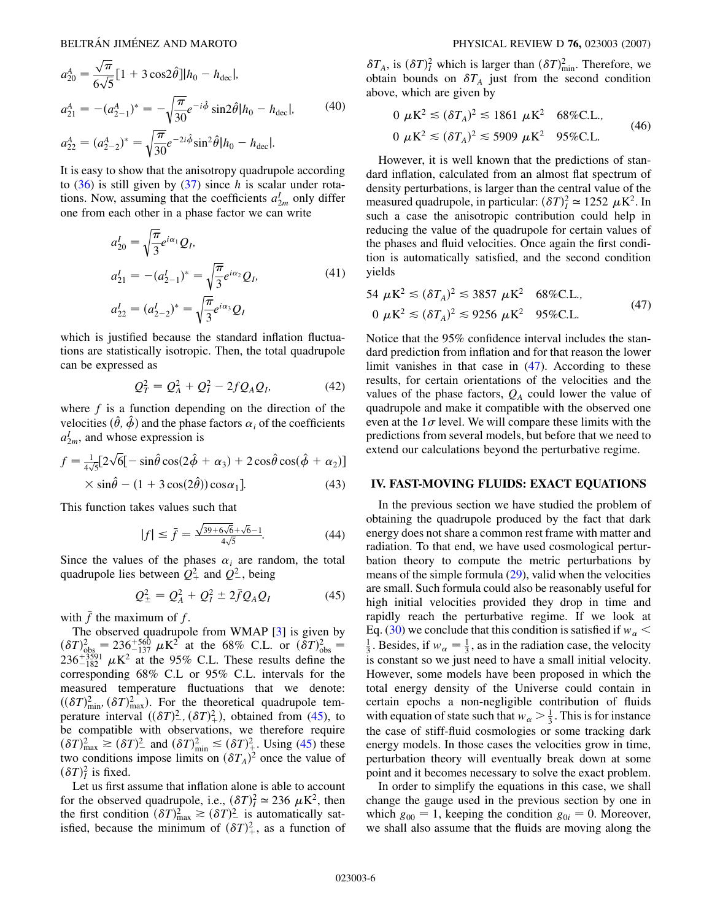$$
a_{20}^A = \frac{\sqrt{\pi}}{6\sqrt{5}} [1 + 3\cos 2\hat{\theta}] |h_0 - h_{\text{dec}}|,
$$
  
\n
$$
a_{21}^A = -(a_{2-1}^A)^* = -\sqrt{\frac{\pi}{30}} e^{-i\hat{\phi}} \sin 2\hat{\theta} |h_0 - h_{\text{dec}}|,
$$
\n
$$
a_{22}^A = (a_{2-2}^A)^* = \sqrt{\frac{\pi}{30}} e^{-2i\hat{\phi}} \sin^2 \hat{\theta} |h_0 - h_{\text{dec}}|.
$$
\n(40)

It is easy to show that the anisotropy quadrupole according to [\(36\)](#page-4-3) is still given by ([37](#page-4-2)) since *h* is scalar under rotations. Now, assuming that the coefficients  $a_{2m}^I$  only differ one from each other in a phase factor we can write

$$
a_{20}^I = \sqrt{\frac{\pi}{3}} e^{i\alpha_1} Q_I,
$$
  
\n
$$
a_{21}^I = -(a_{2-1}^I)^* = \sqrt{\frac{\pi}{3}} e^{i\alpha_2} Q_I,
$$
  
\n
$$
a_{22}^I = (a_{2-2}^I)^* = \sqrt{\frac{\pi}{3}} e^{i\alpha_3} Q_I
$$
\n(41)

which is justified because the standard inflation fluctuations are statistically isotropic. Then, the total quadrupole can be expressed as

$$
Q_T^2 = Q_A^2 + Q_I^2 - 2fQ_AQ_I, \qquad (42)
$$

where *f* is a function depending on the direction of the velocities  $(\hat{\theta}, \hat{\phi})$  and the phase factors  $\alpha_i$  of the coefficients  $a_{2m}^I$ , and whose expression is

$$
f = \frac{1}{4\sqrt{5}} [2\sqrt{6}] - \sin\hat{\theta}\cos(2\hat{\phi} + \alpha_3) + 2\cos\hat{\theta}\cos(\hat{\phi} + \alpha_2)]
$$
  
× sin $\hat{\theta}$  – (1 + 3 cos(2 $\hat{\theta}$ )) cos $\alpha_1$ ]. (43)

This function takes values such that

$$
|f| \le \bar{f} = \frac{\sqrt{39 + 6\sqrt{6}} + \sqrt{6} - 1}{4\sqrt{5}}.\tag{44}
$$

<span id="page-5-0"></span>Since the values of the phases  $\alpha_i$  are random, the total quadrupole lies between  $Q^2_+$  and  $Q^2_-$ , being

$$
Q_{\pm}^{2} = Q_{A}^{2} + Q_{I}^{2} \pm 2 \bar{f} Q_{A} Q_{I}
$$
 (45)

with  $\bar{f}$  the maximum of  $f$ .

The observed quadrupole from WMAP [\[3\]](#page-12-2) is given by  $(\delta T)^2_{\rm obs} = 236^{+560}_{-137} \mu K^2$  at the 68% C.L. or  $(\delta T)^2_{\rm obs} = 236^{+3591}_{-182} \mu K^2$  at the 95% C.L. These results define the corresponding 68% C.L or 95% C.L. intervals for the measured temperature fluctuations that we denote:  $((\delta T)^2_{\text{min}}, (\delta T)^2_{\text{max}})$ . For the theoretical quadrupole temperature interval  $((\delta T)^2)$ ,  $(\delta T)^2$ , obtained from ([45](#page-5-0)), to be compatible with observations, we therefore require  $(\delta T)^2_{\text{max}} \ge (\delta T)^2_{\text{min}}$  and  $(\delta T)^2_{\text{min}} \le (\delta T)^2_{\text{max}}$ . Using [\(45\)](#page-5-0) these two conditions impose limits on  $(\delta T_A)^2$  once the value of  $(\delta T)^2$  is fixed.

Let us first assume that inflation alone is able to account for the observed quadrupole, i.e.,  $(\delta T)^2 = 236 \mu K^2$ , then the first condition  $(\delta T)_{\text{max}}^2 \ge (\delta T)^2$  is automatically satisfied, because the minimum of  $(\delta T)^2_+$ , as a function of

 $\delta T_A$ , is  $(\delta T)^2_I$  which is larger than  $(\delta T)^2_{\text{min}}$ . Therefore, we obtain bounds on  $\delta T_A$  just from the second condition above, which are given by

<span id="page-5-2"></span>
$$
0 \ \mu \text{K}^2 \le (\delta T_A)^2 \le 1861 \ \mu \text{K}^2 \quad 68\% \text{C.L.},
$$
\n
$$
0 \ \mu \text{K}^2 \le (\delta T_A)^2 \le 5909 \ \mu \text{K}^2 \quad 95\% \text{C.L.}
$$
\n(46)

However, it is well known that the predictions of standard inflation, calculated from an almost flat spectrum of density perturbations, is larger than the central value of the measured quadrupole, in particular:  $(\delta T)^2_I \approx 1252 \mu K^2$ . In such a case the anisotropic contribution could help in reducing the value of the quadrupole for certain values of the phases and fluid velocities. Once again the first condition is automatically satisfied, and the second condition yields

<span id="page-5-1"></span>54 
$$
\mu
$$
K<sup>2</sup>  $\leq (\delta T_A)^2 \leq 3857 \mu$ K<sup>2</sup> 68%C.L.,  
0  $\mu$ K<sup>2</sup>  $\leq (\delta T_A)^2 \leq 9256 \mu$ K<sup>2</sup> 95%C.L. (47)

Notice that the 95% confidence interval includes the standard prediction from inflation and for that reason the lower limit vanishes in that case in ([47\)](#page-5-1). According to these results, for certain orientations of the velocities and the values of the phase factors, *QA* could lower the value of quadrupole and make it compatible with the observed one even at the  $1\sigma$  level. We will compare these limits with the predictions from several models, but before that we need to extend our calculations beyond the perturbative regime.

## **IV. FAST-MOVING FLUIDS: EXACT EQUATIONS**

In the previous section we have studied the problem of obtaining the quadrupole produced by the fact that dark energy does not share a common rest frame with matter and radiation. To that end, we have used cosmological perturbation theory to compute the metric perturbations by means of the simple formula  $(29)$  $(29)$  $(29)$ , valid when the velocities are small. Such formula could also be reasonably useful for high initial velocities provided they drop in time and rapidly reach the perturbative regime. If we look at Eq. ([30](#page-4-0)) we conclude that this condition is satisfied if  $w_\alpha$  <  $\frac{1}{3}$ . Besides, if  $w_{\alpha} = \frac{1}{3}$ , as in the radiation case, the velocity is constant so we just need to have a small initial velocity. However, some models have been proposed in which the total energy density of the Universe could contain in certain epochs a non-negligible contribution of fluids with equation of state such that  $w_{\alpha} > \frac{1}{3}$ . This is for instance the case of stiff-fluid cosmologies or some tracking dark energy models. In those cases the velocities grow in time, perturbation theory will eventually break down at some point and it becomes necessary to solve the exact problem.

In order to simplify the equations in this case, we shall change the gauge used in the previous section by one in which  $g_{00} = 1$ , keeping the condition  $g_{0i} = 0$ . Moreover, we shall also assume that the fluids are moving along the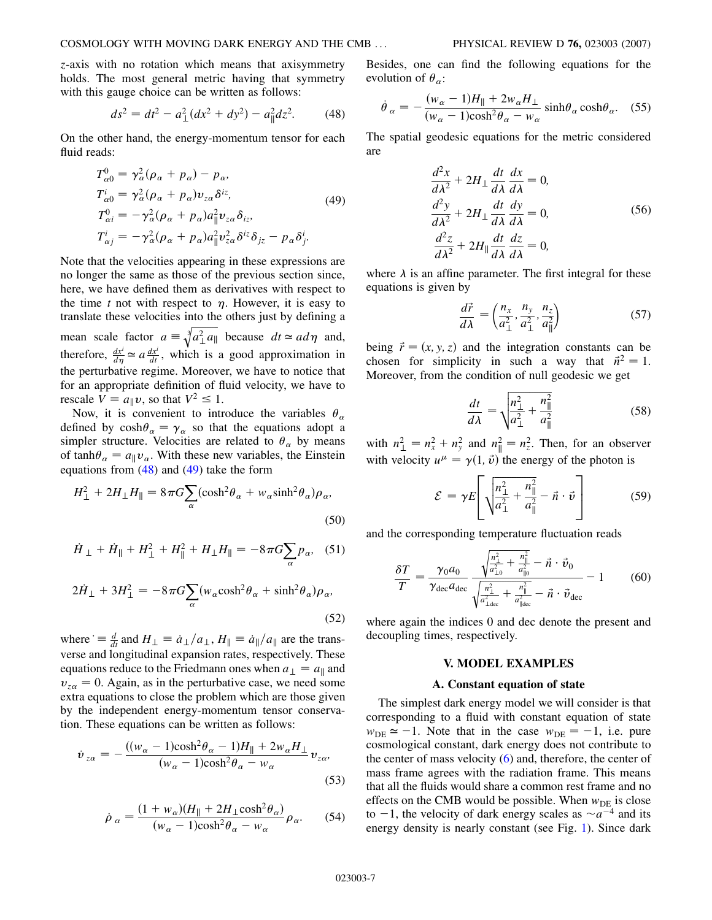<span id="page-6-0"></span>*z*-axis with no rotation which means that axisymmetry holds. The most general metric having that symmetry with this gauge choice can be written as follows:

$$
ds^2 = dt^2 - a_\perp^2 (dx^2 + dy^2) - a_\parallel^2 dz^2.
$$
 (48)

<span id="page-6-1"></span>On the other hand, the energy-momentum tensor for each fluid reads:

$$
T_{\alpha 0}^{0} = \gamma_{\alpha}^{2} (\rho_{\alpha} + p_{\alpha}) - p_{\alpha},
$$
  
\n
$$
T_{\alpha 0}^{i} = \gamma_{\alpha}^{2} (\rho_{\alpha} + p_{\alpha}) v_{z\alpha} \delta^{iz},
$$
  
\n
$$
T_{\alpha i}^{0} = -\gamma_{\alpha}^{2} (\rho_{\alpha} + p_{\alpha}) a_{\parallel}^{2} v_{z\alpha} \delta_{iz},
$$
  
\n
$$
T_{\alpha j}^{i} = -\gamma_{\alpha}^{2} (\rho_{\alpha} + p_{\alpha}) a_{\parallel}^{2} v_{z\alpha}^{2} \delta^{iz} \delta_{jz} - p_{\alpha} \delta_{j}^{i}.
$$
\n(49)

Note that the velocities appearing in these expressions are no longer the same as those of the previous section since, here, we have defined them as derivatives with respect to the time  $t$  not with respect to  $\eta$ . However, it is easy to translate these velocities into the others just by defining a mean scale factor  $a \equiv$  $\sqrt[3]{a_{\perp}^2 a_{\parallel}}$  $\overline{a}$ because  $dt \approx ad\eta$  and, therefore,  $\frac{dx^i}{d\eta} \approx a \frac{dx^i}{dt}$ , which is a good approximation in the perturbative regime. Moreover, we have to notice that for an appropriate definition of fluid velocity, we have to rescale  $V \equiv a_{\parallel}v$ , so that  $V^2 \leq 1$ .

Now, it is convenient to introduce the variables  $\theta_{\alpha}$ defined by  $cosh\theta_{\alpha} = \gamma_{\alpha}$  so that the equations adopt a simpler structure. Velocities are related to  $\theta_{\alpha}$  by means of tanh $\theta_{\alpha} = a_{\parallel} v_{\alpha}$ . With these new variables, the Einstein equations from  $(48)$  $(48)$  and  $(49)$  $(49)$  $(49)$  take the form

$$
H_{\perp}^{2} + 2H_{\perp}H_{\parallel} = 8\pi G \sum_{\alpha} (\cosh^{2} \theta_{\alpha} + w_{\alpha} \sinh^{2} \theta_{\alpha}) \rho_{\alpha},
$$
\n(50)

$$
\dot{H}_{\perp} + \dot{H}_{\parallel} + H_{\perp}^2 + H_{\parallel}^2 + H_{\perp}H_{\parallel} = -8\pi G \sum_{\alpha} p_{\alpha}, \quad (51)
$$

$$
2\dot{H}_{\perp} + 3H_{\perp}^{2} = -8\pi G \sum_{\alpha} (w_{\alpha} \cosh^{2} \theta_{\alpha} + \sinh^{2} \theta_{\alpha}) \rho_{\alpha},
$$
\n(52)

<span id="page-6-3"></span>where  $\dot{=}$   $\frac{d}{dt}$  and  $H_{\perp} \equiv \dot{a}_{\perp}/a_{\perp}$ ,  $H_{\parallel} \equiv \dot{a}_{\parallel}/a_{\parallel}$  are the transverse and longitudinal expansion rates, respectively. These equations reduce to the Friedmann ones when  $a_{\perp} = a_{\parallel}$  and  $v_{z\alpha} = 0$ . Again, as in the perturbative case, we need some extra equations to close the problem which are those given by the independent energy-momentum tensor conservation. These equations can be written as follows:

$$
\dot{v}_{z\alpha} = -\frac{((w_{\alpha} - 1)\cosh^2\theta_{\alpha} - 1)H_{\parallel} + 2w_{\alpha}H_{\perp}}{(w_{\alpha} - 1)\cosh^2\theta_{\alpha} - w_{\alpha}}v_{z\alpha},
$$
\n(53)

$$
\dot{\rho}_{\alpha} = \frac{(1 + w_{\alpha})(H_{\parallel} + 2H_{\perp}\cosh^2\theta_{\alpha})}{(w_{\alpha} - 1)\cosh^2\theta_{\alpha} - w_{\alpha}}\rho_{\alpha}.
$$
 (54)

<span id="page-6-2"></span>Besides, one can find the following equations for the evolution of  $\theta_{\alpha}$ :

$$
\dot{\theta}_{\alpha} = -\frac{(w_{\alpha} - 1)H_{\parallel} + 2w_{\alpha}H_{\perp}}{(w_{\alpha} - 1)\cosh^2 \theta_{\alpha} - w_{\alpha}} \sinh \theta_{\alpha} \cosh \theta_{\alpha}.
$$
 (55)

The spatial geodesic equations for the metric considered are

$$
\frac{d^2x}{d\lambda^2} + 2H_{\perp} \frac{dt}{d\lambda} \frac{dx}{d\lambda} = 0,
$$
  
\n
$$
\frac{d^2y}{d\lambda^2} + 2H_{\perp} \frac{dt}{d\lambda} \frac{dy}{d\lambda} = 0,
$$
  
\n
$$
\frac{d^2z}{d\lambda^2} + 2H_{\parallel} \frac{dt}{d\lambda} \frac{dz}{d\lambda} = 0,
$$
\n(56)

where  $\lambda$  is an affine parameter. The first integral for these equations is given by

$$
\frac{d\vec{r}}{d\lambda} = \left(\frac{n_x}{a_\perp^2}, \frac{n_y}{a_\perp^2}, \frac{n_z}{a_\parallel^2}\right) \tag{57}
$$

being  $\vec{r} = (x, y, z)$  and the integration constants can be chosen for simplicity in such a way that  $\vec{n}^2 = 1$ . Moreover, from the condition of null geodesic we get

$$
\frac{dt}{d\lambda} = \sqrt{\frac{n_{\perp}^2}{a_{\perp}^2} + \frac{n_{\parallel}^2}{a_{\parallel}^2}}
$$
(58)

with  $n_{\perp}^2 = n_x^2 + n_y^2$  and  $n_{\parallel}^2 = n_z^2$ . Then, for an observer with velocity  $u^{\mu} = \gamma(1, \vec{v})$  the energy of the photon is

$$
\mathcal{E} = \gamma E \left[ \sqrt{\frac{n_{\perp}^2}{a_{\perp}^2} + \frac{n_{\parallel}^2}{a_{\parallel}^2}} - \vec{n} \cdot \vec{v} \right]
$$
 (59)

and the corresponding temperature fluctuation reads

$$
\frac{\delta T}{T} = \frac{\gamma_0 a_0}{\gamma_{\text{dec}} a_{\text{dec}}} \frac{\sqrt{\frac{n_1^2}{a_{\perp 0}^2} + \frac{n_{\parallel}^2}{a_{\parallel 0}^2}} - \vec{n} \cdot \vec{v}_0}{\sqrt{\frac{n_1^2}{a_{\text{1dec}}^2} + \frac{n_{\parallel}^2}{a_{\text{1dec}}^2}} - \vec{n} \cdot \vec{v}_{\text{dec}}}
$$
(60)

where again the indices 0 and dec denote the present and decoupling times, respectively.

## **V. MODEL EXAMPLES**

### **A. Constant equation of state**

The simplest dark energy model we will consider is that corresponding to a fluid with constant equation of state  $w_{\text{DE}} \approx -1$ . Note that in the case  $w_{\text{DE}} = -1$ , i.e. pure cosmological constant, dark energy does not contribute to the center of mass velocity  $(6)$  $(6)$  and, therefore, the center of mass frame agrees with the radiation frame. This means that all the fluids would share a common rest frame and no effects on the CMB would be possible. When  $w_{DE}$  is close to  $-1$ , the velocity of dark energy scales as  $\sim a^{-4}$  and its energy density is nearly constant (see Fig. [1](#page-7-0)). Since dark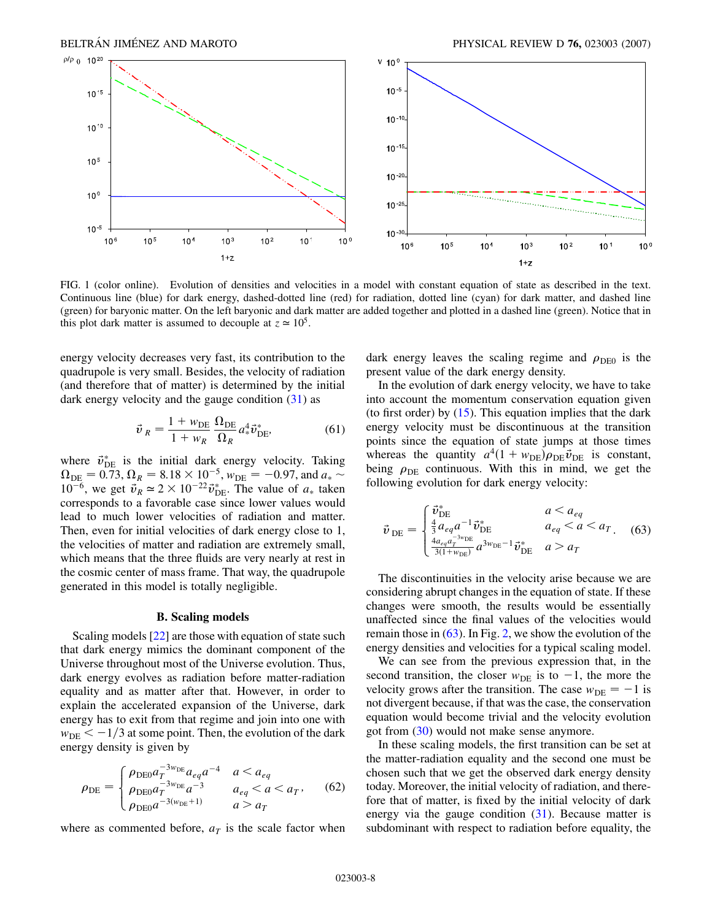<span id="page-7-0"></span>

FIG. 1 (color online). Evolution of densities and velocities in a model with constant equation of state as described in the text. Continuous line (blue) for dark energy, dashed-dotted line (red) for radiation, dotted line (cyan) for dark matter, and dashed line (green) for baryonic matter. On the left baryonic and dark matter are added together and plotted in a dashed line (green). Notice that in this plot dark matter is assumed to decouple at  $z \approx 10^5$ .

energy velocity decreases very fast, its contribution to the quadrupole is very small. Besides, the velocity of radiation (and therefore that of matter) is determined by the initial dark energy velocity and the gauge condition ([31](#page-4-4)) as

$$
\vec{v}_R = \frac{1 + w_{\text{DE}}}{1 + w_R} \frac{\Omega_{\text{DE}}}{\Omega_R} a_*^4 \vec{v}_{\text{DE}}^*,\tag{61}
$$

where  $\vec{v}_{\text{DE}}^*$  is the initial dark energy velocity. Taking  $\Omega_{\rm DE} = 0.73, \Omega_R = 8.18 \times 10^{-5}, w_{\rm DE} = -0.97, \text{ and } a_* \sim$  $10^{-6}$ , we get  $\vec{v}_R \approx 2 \times 10^{-22} \vec{v}_{\text{DE}}^*$ . The value of  $a_*$  taken corresponds to a favorable case since lower values would lead to much lower velocities of radiation and matter. Then, even for initial velocities of dark energy close to 1, the velocities of matter and radiation are extremely small, which means that the three fluids are very nearly at rest in the cosmic center of mass frame. That way, the quadrupole generated in this model is totally negligible.

### **B. Scaling models**

Scaling models [[22](#page-12-21)] are those with equation of state such that dark energy mimics the dominant component of the Universe throughout most of the Universe evolution. Thus, dark energy evolves as radiation before matter-radiation equality and as matter after that. However, in order to explain the accelerated expansion of the Universe, dark energy has to exit from that regime and join into one with  $w_{DE} < -1/3$  at some point. Then, the evolution of the dark energy density is given by

$$
\rho_{\rm DE} = \begin{cases}\n\rho_{\rm DE0} a_T^{-3w_{\rm DE}} a_{eq} a^{-4} & a < a_{eq} \\
\rho_{\rm DE0} a_T^{-3w_{\rm DE}} a^{-3} & a_{eq} < a < a_T, \\
\rho_{\rm DE0} a^{-3(w_{\rm DE}+1)} & a > a_T\n\end{cases}
$$
\n(62)

where as commented before,  $a_T$  is the scale factor when

dark energy leaves the scaling regime and  $\rho_{DE0}$  is the present value of the dark energy density.

In the evolution of dark energy velocity, we have to take into account the momentum conservation equation given (to first order) by  $(15)$  $(15)$  $(15)$ . This equation implies that the dark energy velocity must be discontinuous at the transition points since the equation of state jumps at those times whereas the quantity  $a^4(1 + w_{DE})\rho_{DE}\vec{v}_{DE}$  is constant, being  $\rho_{DE}$  continuous. With this in mind, we get the following evolution for dark energy velocity:

<span id="page-7-1"></span>
$$
\vec{v}_{\text{DE}} = \begin{cases} \vec{v}_{\text{DE}}^{*} & a < a_{eq} \\ \frac{4}{3} a_{eq} a^{-1} \vec{v}_{\text{DE}}^{*} & a_{eq} < a < a_{T}. \\ \frac{4a_{eq} a_{T}^{-3w_{\text{DE}}}}{3(1+w_{\text{DE}})} a^{3w_{\text{DE}}-1} \vec{v}_{\text{DE}}^{*} & a > a_{T}. \end{cases}
$$
(63)

The discontinuities in the velocity arise because we are considering abrupt changes in the equation of state. If these changes were smooth, the results would be essentially unaffected since the final values of the velocities would remain those in  $(63)$ . In Fig. [2](#page-8-0), we show the evolution of the energy densities and velocities for a typical scaling model.

We can see from the previous expression that, in the second transition, the closer  $w_{DE}$  is to  $-1$ , the more the velocity grows after the transition. The case  $w_{DE} = -1$  is not divergent because, if that was the case, the conservation equation would become trivial and the velocity evolution got from [\(30\)](#page-4-0) would not make sense anymore.

In these scaling models, the first transition can be set at the matter-radiation equality and the second one must be chosen such that we get the observed dark energy density today. Moreover, the initial velocity of radiation, and therefore that of matter, is fixed by the initial velocity of dark energy via the gauge condition  $(31)$  $(31)$  $(31)$ . Because matter is subdominant with respect to radiation before equality, the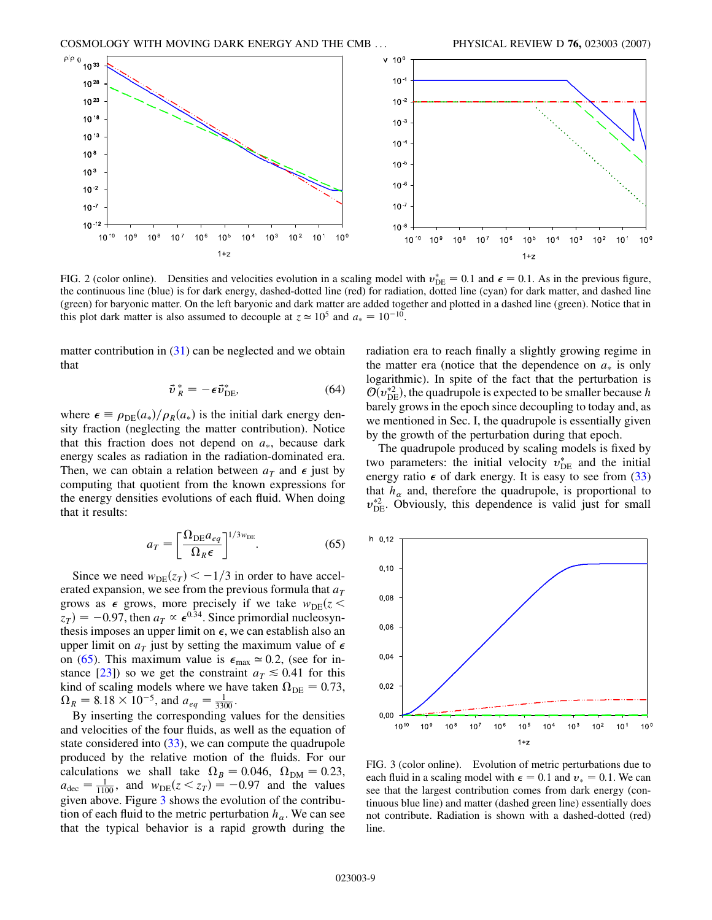<span id="page-8-0"></span>

FIG. 2 (color online). Densities and velocities evolution in a scaling model with  $v_{\text{DE}}^* = 0.1$  and  $\epsilon = 0.1$ . As in the previous figure, the continuous line (blue) is for dark energy, dashed-dotted line (red) for radiation, dotted line (cyan) for dark matter, and dashed line (green) for baryonic matter. On the left baryonic and dark matter are added together and plotted in a dashed line (green). Notice that in this plot dark matter is also assumed to decouple at  $z \approx 10^5$  and  $a_* = 10^{-10}$ .

<span id="page-8-3"></span>matter contribution in  $(31)$  can be neglected and we obtain that

$$
\vec{v}_R^* = -\epsilon \vec{v}_{\text{DE}}^*,\tag{64}
$$

where  $\epsilon = \rho_{DE}(a_*)/\rho_R(a_*)$  is the initial dark energy density fraction (neglecting the matter contribution). Notice that this fraction does not depend on  $a_{\ast}$ , because dark energy scales as radiation in the radiation-dominated era. Then, we can obtain a relation between  $a_T$  and  $\epsilon$  just by computing that quotient from the known expressions for the energy densities evolutions of each fluid. When doing that it results:

$$
a_T = \left[\frac{\Omega_{\text{DE}} a_{eq}}{\Omega_R \epsilon}\right]^{1/3w_{\text{DE}}}.\tag{65}
$$

<span id="page-8-1"></span>Since we need  $w_{DE}(z_T) < -1/3$  in order to have accelerated expansion, we see from the previous formula that  $a_T$ grows as  $\epsilon$  grows, more precisely if we take  $w_{DE}$ ( $z$  <  $(z_T) = -0.97$ , then  $a_T \propto \epsilon^{0.34}$ . Since primordial nucleosynthesis imposes an upper limit on  $\epsilon$ , we can establish also an upper limit on  $a_T$  just by setting the maximum value of  $\epsilon$ on ([65](#page-8-1)). This maximum value is  $\epsilon_{\text{max}} \approx 0.2$ , (see for in-stance [[23](#page-13-0)]) so we get the constraint  $a_T \le 0.41$  for this kind of scaling models where we have taken  $\Omega_{DE} = 0.73$ ,  $\Omega_R = 8.18 \times 10^{-5}$ , and  $a_{eq} = \frac{1}{3300}$ .

By inserting the corresponding values for the densities and velocities of the four fluids, as well as the equation of state considered into  $(33)$ , we can compute the quadrupole produced by the relative motion of the fluids. For our calculations we shall take  $\Omega_B = 0.046$ ,  $\Omega_{DM} = 0.23$ ,  $a_{\text{dec}} = \frac{1}{1100}$ , and  $w_{\text{DE}}(z \le z_T) = -0.97$  and the values given above. Figure [3](#page-8-2) shows the evolution of the contribution of each fluid to the metric perturbation  $h_{\alpha}$ . We can see that the typical behavior is a rapid growth during the radiation era to reach finally a slightly growing regime in the matter era (notice that the dependence on  $a<sub>*</sub>$  is only logarithmic). In spite of the fact that the perturbation is  $\mathcal{O}(v_{\text{DE}}^{*2})$ , the quadrupole is expected to be smaller because *h* barely grows in the epoch since decoupling to today and, as we mentioned in Sec. I, the quadrupole is essentially given by the growth of the perturbation during that epoch.

The quadrupole produced by scaling models is fixed by two parameters: the initial velocity  $v_{\text{DE}}^*$  and the initial energy ratio  $\epsilon$  of dark energy. It is easy to see from [\(33\)](#page-4-5) that  $h_{\alpha}$  and, therefore the quadrupole, is proportional to  $v_{\text{DE}}^{*2}$ . Obviously, this dependence is valid just for small

<span id="page-8-2"></span>

FIG. 3 (color online). Evolution of metric perturbations due to each fluid in a scaling model with  $\epsilon = 0.1$  and  $v_* = 0.1$ . We can see that the largest contribution comes from dark energy (continuous blue line) and matter (dashed green line) essentially does not contribute. Radiation is shown with a dashed-dotted (red) line.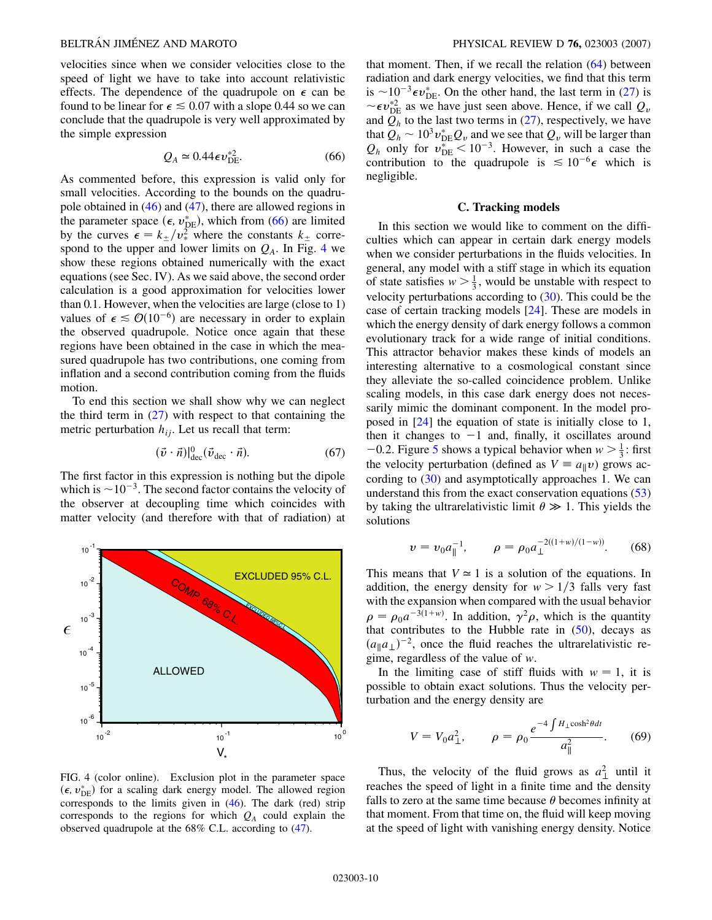velocities since when we consider velocities close to the speed of light we have to take into account relativistic effects. The dependence of the quadrupole on  $\epsilon$  can be found to be linear for  $\epsilon \leq 0.07$  with a slope 0.44 so we can conclude that the quadrupole is very well approximated by the simple expression

$$
Q_A \simeq 0.44 \epsilon v_{\rm DE}^{*2}.\tag{66}
$$

<span id="page-9-0"></span>As commented before, this expression is valid only for small velocities. According to the bounds on the quadrupole obtained in [\(46\)](#page-5-2) and ([47](#page-5-1)), there are allowed regions in the parameter space  $(\epsilon, v_{\text{DE}}^*)$ , which from [\(66\)](#page-9-0) are limited by the curves  $\epsilon = k_{\pm}/v_{*}^{2}$  where the constants  $k_{\pm}$  correspond to the upper and lower limits on  $Q_A$ . In Fig. [4](#page-9-1) we show these regions obtained numerically with the exact equations (see Sec. IV). As we said above, the second order calculation is a good approximation for velocities lower than 0.1. However, when the velocities are large (close to 1) values of  $\epsilon \leq O(10^{-6})$  are necessary in order to explain the observed quadrupole. Notice once again that these regions have been obtained in the case in which the measured quadrupole has two contributions, one coming from inflation and a second contribution coming from the fluids motion.

<span id="page-9-2"></span>To end this section we shall show why we can neglect the third term in  $(27)$  $(27)$  $(27)$  with respect to that containing the metric perturbation  $h_{ij}$ . Let us recall that term:

$$
(\vec{v} \cdot \vec{n})\vert_{\text{dec}}^0 (\vec{v}_{\text{dec}} \cdot \vec{n}). \tag{67}
$$

The first factor in this expression is nothing but the dipole which is  $\sim 10^{-3}$ . The second factor contains the velocity of the observer at decoupling time which coincides with matter velocity (and therefore with that of radiation) at

<span id="page-9-1"></span>

FIG. 4 (color online). Exclusion plot in the parameter space  $(\epsilon, v_{\text{DE}}^*)$  for a scaling dark energy model. The allowed region corresponds to the limits given in ([46](#page-5-2)). The dark (red) strip corresponds to the regions for which *QA* could explain the observed quadrupole at the 68% C.L. according to ([47](#page-5-1)).

that moment. Then, if we recall the relation ([64](#page-8-3)) between radiation and dark energy velocities, we find that this term is  $\sim 10^{-3} \epsilon v_{\text{DE}}^*$ . On the other hand, the last term in ([27](#page-3-3)) is  $\sim \epsilon v_{\text{DE}}^{*2}$  as we have just seen above. Hence, if we call  $Q_v$ and  $Q_h$  to the last two terms in [\(27](#page-3-3)), respectively, we have that  $Q_h \sim 10^3 v_{\rm DE}^* Q_v$  and we see that  $Q_v$  will be larger than  $Q_h$  only for  $v_{\text{DE}}^* < 10^{-3}$ . However, in such a case the contribution to the quadrupole is  $\leq 10^{-6} \epsilon$  which is negligible.

## **C. Tracking models**

In this section we would like to comment on the difficulties which can appear in certain dark energy models when we consider perturbations in the fluids velocities. In general, any model with a stiff stage in which its equation of state satisfies  $w > \frac{1}{3}$ , would be unstable with respect to velocity perturbations according to ([30](#page-4-0)). This could be the case of certain tracking models [\[24\]](#page-13-1). These are models in which the energy density of dark energy follows a common evolutionary track for a wide range of initial conditions. This attractor behavior makes these kinds of models an interesting alternative to a cosmological constant since they alleviate the so-called coincidence problem. Unlike scaling models, in this case dark energy does not necessarily mimic the dominant component. In the model proposed in [\[24\]](#page-13-1) the equation of state is initially close to 1, then it changes to  $-1$  and, finally, it oscillates around  $-0.2$ . Figure [5](#page-10-0) shows a typical behavior when  $w > \frac{1}{3}$ : first the velocity perturbation (defined as  $V \equiv a_{\parallel}v$ ) grows according to [\(30\)](#page-4-0) and asymptotically approaches 1. We can understand this from the exact conservation equations [\(53\)](#page-6-2) by taking the ultrarelativistic limit  $\theta \gg 1$ . This yields the solutions

$$
\nu = \nu_0 a_{\parallel}^{-1}, \qquad \rho = \rho_0 a_{\perp}^{-2((1+w)/(1-w))}.
$$
 (68)

This means that  $V \approx 1$  is a solution of the equations. In addition, the energy density for  $w > 1/3$  falls very fast with the expansion when compared with the usual behavior  $\rho = \rho_0 a^{-3(1+w)}$ . In addition,  $\gamma^2 \rho$ , which is the quantity that contributes to the Hubble rate in  $(50)$ , decays as  $(a_{\parallel}a_{\perp})^{-2}$ , once the fluid reaches the ultrarelativistic regime, regardless of the value of *w*.

In the limiting case of stiff fluids with  $w = 1$ , it is possible to obtain exact solutions. Thus the velocity perturbation and the energy density are

$$
V = V_0 a_{\perp}^2, \qquad \rho = \rho_0 \frac{e^{-4} \int H_{\perp} \cosh^2 \theta dt}{a_{\parallel}^2}.
$$
 (69)

Thus, the velocity of the fluid grows as  $a_{\perp}^2$  until it reaches the speed of light in a finite time and the density falls to zero at the same time because  $\theta$  becomes infinity at that moment. From that time on, the fluid will keep moving at the speed of light with vanishing energy density. Notice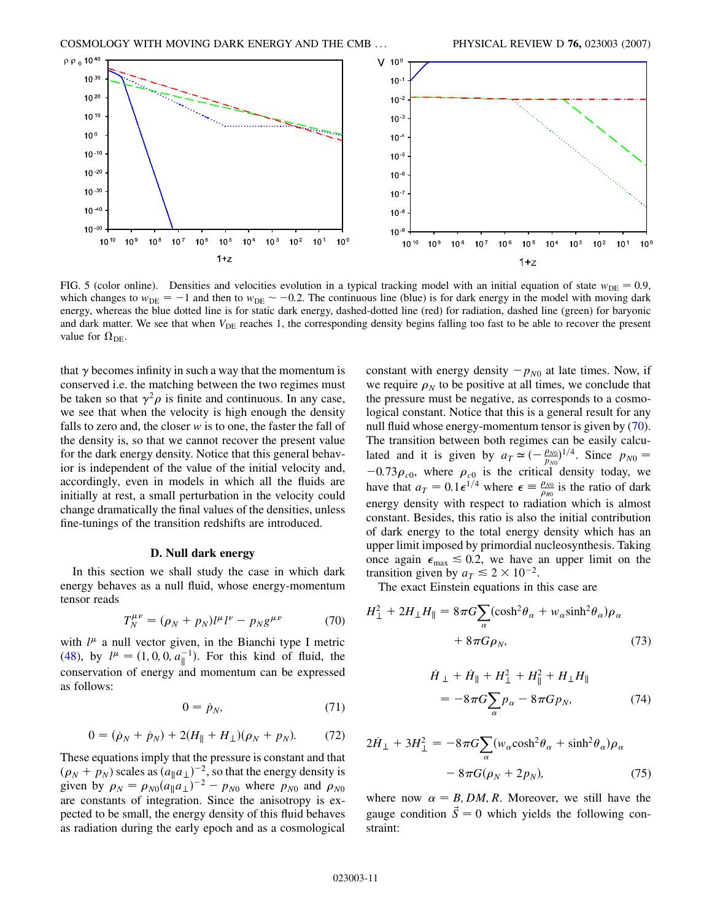<span id="page-10-0"></span>

FIG. 5 (color online). Densities and velocities evolution in a typical tracking model with an initial equation of state  $w_{\text{DE}} = 0.9$ , which changes to  $w_{\text{DE}} = -1$  and then to  $w_{\text{DE}} \sim -0.2$ . The continuous line (blue) is for dark energy in the model with moving dark energy, whereas the blue dotted line is for static dark energy, dashed-dotted line (red) for radiation, dashed line (green) for baryonic and dark matter. We see that when  $V_{\text{DE}}$  reaches 1, the corresponding density begins falling too fast to be able to recover the present value for  $\Omega_{\text{DE}}$ .

that  $\gamma$  becomes infinity in such a way that the momentum is conserved i.e. the matching between the two regimes must be taken so that  $\gamma^2 \rho$  is finite and continuous. In any case, we see that when the velocity is high enough the density falls to zero and, the closer *w* is to one, the faster the fall of the density is, so that we cannot recover the present value for the dark energy density. Notice that this general behavior is independent of the value of the initial velocity and, accordingly, even in models in which all the fluids are initially at rest, a small perturbation in the velocity could change dramatically the final values of the densities, unless fine-tunings of the transition redshifts are introduced.

## **D. Null dark energy**

<span id="page-10-1"></span>In this section we shall study the case in which dark energy behaves as a null fluid, whose energy-momentum tensor reads

$$
T_N^{\mu\nu} = (\rho_N + p_N)l^{\mu}l^{\nu} - p_Ng^{\mu\nu} \tag{70}
$$

with  $l^{\mu}$  a null vector given, in the Bianchi type I metric [\(48\)](#page-6-0), by  $l^{\mu} = (1, 0, 0, a_{\parallel}^{-1})$ . For this kind of fluid, the conservation of energy and momentum can be expressed as follows:

$$
0 = \dot{p}_N,\tag{71}
$$

$$
0 = (\dot{\rho}_N + \dot{p}_N) + 2(H_{\parallel} + H_{\perp})(\rho_N + p_N). \tag{72}
$$

These equations imply that the pressure is constant and that  $(\rho_N + p_N)$  scales as  $(a_{\parallel}a_{\perp})^{-2}$ , so that the energy density is given by  $\rho_N = \rho_{N0}(a_{\parallel} a_{\perp})^{-2} - p_{N0}$  where  $p_{N0}$  and  $\rho_{N0}$ are constants of integration. Since the anisotropy is expected to be small, the energy density of this fluid behaves as radiation during the early epoch and as a cosmological constant with energy density  $-p_{N0}$  at late times. Now, if we require  $\rho_N$  to be positive at all times, we conclude that the pressure must be negative, as corresponds to a cosmological constant. Notice that this is a general result for any null fluid whose energy-momentum tensor is given by ([70\)](#page-10-1). The transition between both regimes can be easily calculated and it is given by  $a_T \approx \left(-\frac{\rho_{N0}}{p_{N0}}\right)^{1/4}$ . Since  $p_{N0} =$  $-0.73 \rho_{c0}$ , where  $\rho_{c0}$  is the critical density today, we have that  $a_T = 0.1 \epsilon^{1/4}$  where  $\epsilon = \frac{\rho_{N0}}{\rho_{R0}}$  is the ratio of dark energy density with respect to radiation which is almost constant. Besides, this ratio is also the initial contribution of dark energy to the total energy density which has an upper limit imposed by primordial nucleosynthesis. Taking once again  $\epsilon_{\text{max}} \leq 0.2$ , we have an upper limit on the transition given by  $a_T \le 2 \times 10^{-2}$ .

The exact Einstein equations in this case are

<span id="page-10-2"></span>
$$
H_{\perp}^{2} + 2H_{\perp}H_{\parallel} = 8\pi G \sum_{\alpha} (\cosh^{2} \theta_{\alpha} + w_{\alpha} \sinh^{2} \theta_{\alpha}) \rho_{\alpha}
$$

$$
+ 8\pi G \rho_{N}, \qquad (73)
$$

$$
\dot{H}_{\perp} + \dot{H}_{\parallel} + H_{\perp}^2 + H_{\parallel}^2 + H_{\perp}H_{\parallel}
$$
\n
$$
= -8\pi G \sum_{\alpha} p_{\alpha} - 8\pi G p_{N}, \qquad (74)
$$

$$
2\dot{H}_{\perp} + 3H_{\perp}^{2} = -8\pi G \sum_{\alpha} (w_{\alpha} \cosh^{2} \theta_{\alpha} + \sinh^{2} \theta_{\alpha}) \rho_{\alpha}
$$

$$
- 8\pi G(\rho_{N} + 2p_{N}), \qquad (75)
$$

where now  $\alpha = B, DM, R$ . Moreover, we still have the gauge condition  $\vec{S} = 0$  which yields the following constraint: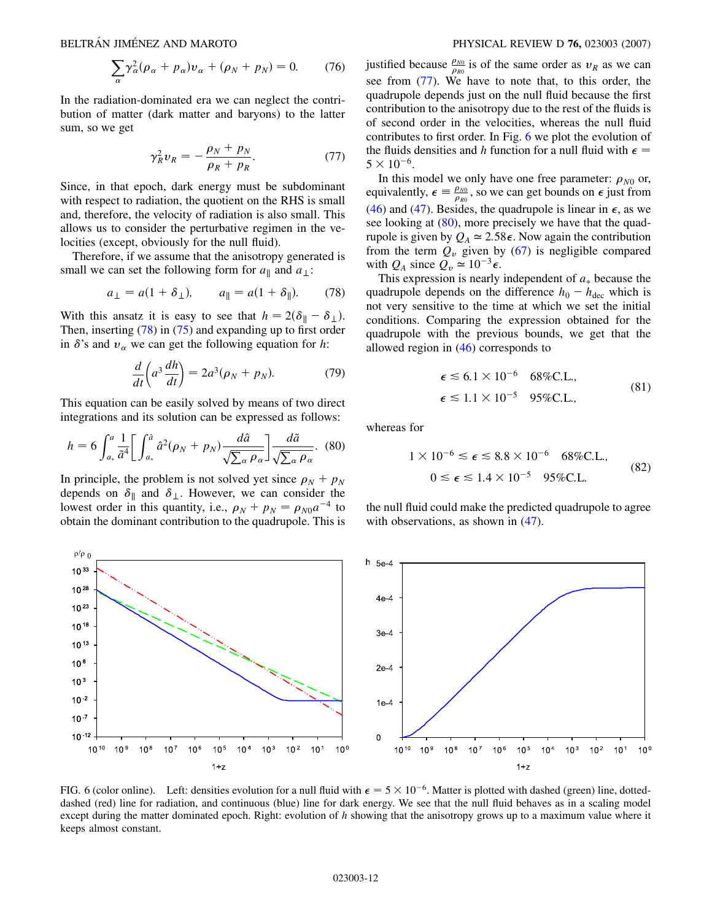$$
\sum_{\alpha} \gamma_{\alpha}^2 (\rho_{\alpha} + p_{\alpha}) v_{\alpha} + (\rho_N + p_N) = 0. \tag{76}
$$

<span id="page-11-1"></span>In the radiation-dominated era we can neglect the contribution of matter (dark matter and baryons) to the latter sum, so we get

$$
\gamma_R^2 v_R = -\frac{\rho_N + p_N}{\rho_R + p_R}.\tag{77}
$$

Since, in that epoch, dark energy must be subdominant with respect to radiation, the quotient on the RHS is small and, therefore, the velocity of radiation is also small. This allows us to consider the perturbative regimen in the velocities (except, obviously for the null fluid).

<span id="page-11-0"></span>Therefore, if we assume that the anisotropy generated is small we can set the following form for  $a_{\parallel}$  and  $a_{\perp}$ :

$$
a_{\perp} = a(1 + \delta_{\perp}), \qquad a_{\parallel} = a(1 + \delta_{\parallel}).
$$
 (78)

With this ansatz it is easy to see that  $h = 2(\delta_{\parallel} - \delta_{\perp}).$ Then, inserting [\(78\)](#page-11-0) in [\(75\)](#page-10-2) and expanding up to first order in  $\delta$ 's and  $v_\alpha$  we can get the following equation for *h*:

$$
\frac{d}{dt}\left(a^3\frac{dh}{dt}\right) = 2a^3(\rho_N + p_N). \tag{79}
$$

<span id="page-11-3"></span>This equation can be easily solved by means of two direct integrations and its solution can be expressed as follows:

$$
h = 6 \int_{a_*}^{a} \frac{1}{\tilde{a}^4} \left[ \int_{a_*}^{\hat{a}} \hat{a}^2 (\rho_N + p_N) \frac{d\hat{a}}{\sqrt{\sum_{\alpha} \rho_{\alpha}}} \right] \frac{d\tilde{a}}{\sqrt{\sum_{\alpha} \rho_{\alpha}}}.
$$
 (80)

In principle, the problem is not solved yet since  $\rho_N + p_N$ depends on  $\delta_{\parallel}$  and  $\delta_{\perp}$ . However, we can consider the lowest order in this quantity, i.e.,  $\rho_N + p_N = \rho_{N0}a^{-4}$  to obtain the dominant contribution to the quadrupole. This is

justified because  $\frac{\rho_{N0}}{\rho_{R0}}$  is of the same order as  $v_R$  as we can see from ([77](#page-11-1)). We have to note that, to this order, the quadrupole depends just on the null fluid because the first contribution to the anisotropy due to the rest of the fluids is of second order in the velocities, whereas the null fluid contributes to first order. In Fig. [6](#page-11-2) we plot the evolution of the fluids densities and *h* function for a null fluid with  $\epsilon$  $5 \times 10^{-6}$ .

In this model we only have one free parameter:  $\rho_{N0}$  or, equivalently,  $\epsilon = \frac{\rho_{N0}}{\rho_{R0}}$ , so we can get bounds on  $\epsilon$  just from [\(46\)](#page-5-2) and [\(47\)](#page-5-1). Besides, the quadrupole is linear in  $\epsilon$ , as we see looking at  $(80)$  $(80)$  $(80)$ , more precisely we have that the quadrupole is given by  $Q_A \approx 2.58\epsilon$ . Now again the contribution from the term  $Q_v$  given by ([67](#page-9-2)) is negligible compared with  $Q_A$  since  $Q_v \approx 10^{-3} \epsilon$ .

This expression is nearly independent of  $a_*$  because the quadrupole depends on the difference  $h_0 - h_{\text{dec}}$  which is not very sensitive to the time at which we set the initial conditions. Comparing the expression obtained for the quadrupole with the previous bounds, we get that the allowed region in [\(46\)](#page-5-2) corresponds to

$$
\epsilon \leq 6.1 \times 10^{-6} \quad 68\% \text{C.L.},
$$
  

$$
\epsilon \leq 1.1 \times 10^{-5} \quad 95\% \text{C.L.},
$$
  
(81)

whereas for

$$
1 \times 10^{-6} \le \epsilon \le 8.8 \times 10^{-6} \quad 68\% \text{C.L.},
$$
  
 
$$
0 \le \epsilon \le 1.4 \times 10^{-5} \quad 95\% \text{C.L.}
$$
 (82)

the null fluid could make the predicted quadrupole to agree with observations, as shown in  $(47)$ .

<span id="page-11-2"></span>

FIG. 6 (color online). Left: densities evolution for a null fluid with  $\epsilon = 5 \times 10^{-6}$ . Matter is plotted with dashed (green) line, dotteddashed (red) line for radiation, and continuous (blue) line for dark energy. We see that the null fluid behaves as in a scaling model except during the matter dominated epoch. Right: evolution of *h* showing that the anisotropy grows up to a maximum value where it keeps almost constant.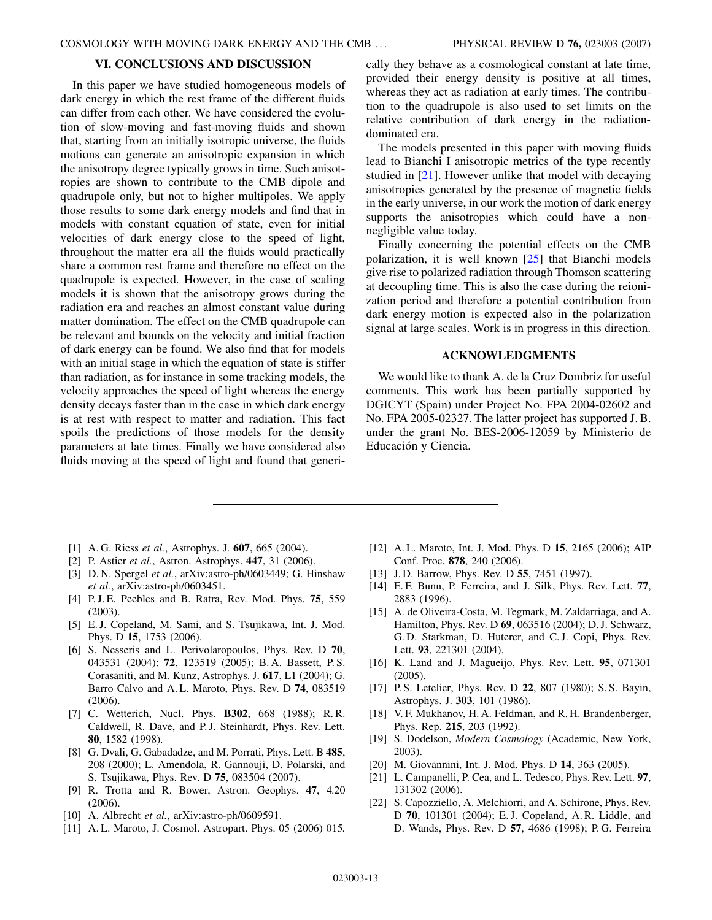# **VI. CONCLUSIONS AND DISCUSSION**

In this paper we have studied homogeneous models of dark energy in which the rest frame of the different fluids can differ from each other. We have considered the evolution of slow-moving and fast-moving fluids and shown that, starting from an initially isotropic universe, the fluids motions can generate an anisotropic expansion in which the anisotropy degree typically grows in time. Such anisotropies are shown to contribute to the CMB dipole and quadrupole only, but not to higher multipoles. We apply those results to some dark energy models and find that in models with constant equation of state, even for initial velocities of dark energy close to the speed of light, throughout the matter era all the fluids would practically share a common rest frame and therefore no effect on the quadrupole is expected. However, in the case of scaling models it is shown that the anisotropy grows during the radiation era and reaches an almost constant value during matter domination. The effect on the CMB quadrupole can be relevant and bounds on the velocity and initial fraction of dark energy can be found. We also find that for models with an initial stage in which the equation of state is stiffer than radiation, as for instance in some tracking models, the velocity approaches the speed of light whereas the energy density decays faster than in the case in which dark energy is at rest with respect to matter and radiation. This fact spoils the predictions of those models for the density parameters at late times. Finally we have considered also fluids moving at the speed of light and found that generically they behave as a cosmological constant at late time, provided their energy density is positive at all times, whereas they act as radiation at early times. The contribution to the quadrupole is also used to set limits on the relative contribution of dark energy in the radiationdominated era.

The models presented in this paper with moving fluids lead to Bianchi I anisotropic metrics of the type recently studied in [[21](#page-12-20)]. However unlike that model with decaying anisotropies generated by the presence of magnetic fields in the early universe, in our work the motion of dark energy supports the anisotropies which could have a nonnegligible value today.

Finally concerning the potential effects on the CMB polarization, it is well known [\[25\]](#page-13-2) that Bianchi models give rise to polarized radiation through Thomson scattering at decoupling time. This is also the case during the reionization period and therefore a potential contribution from dark energy motion is expected also in the polarization signal at large scales. Work is in progress in this direction.

### **ACKNOWLEDGMENTS**

We would like to thank A. de la Cruz Dombriz for useful comments. This work has been partially supported by DGICYT (Spain) under Project No. FPA 2004-02602 and No. FPA 2005-02327. The latter project has supported J. B. under the grant No. BES-2006-12059 by Ministerio de Educación y Ciencia.

- <span id="page-12-0"></span>[1] A. G. Riess *et al.*, Astrophys. J. **607**, 665 (2004).
- <span id="page-12-1"></span>[2] P. Astier *et al.*, Astron. Astrophys. **447**, 31 (2006).
- <span id="page-12-2"></span>[3] D. N. Spergel *et al.*, arXiv:astro-ph/0603449; G. Hinshaw *et al.*, arXiv:astro-ph/0603451.
- <span id="page-12-3"></span>[4] P. J. E. Peebles and B. Ratra, Rev. Mod. Phys. **75**, 559 (2003).
- <span id="page-12-4"></span>[5] E. J. Copeland, M. Sami, and S. Tsujikawa, Int. J. Mod. Phys. D **15**, 1753 (2006).
- <span id="page-12-5"></span>[6] S. Nesseris and L. Perivolaropoulos, Phys. Rev. D **70**, 043531 (2004); **72**, 123519 (2005); B. A. Bassett, P. S. Corasaniti, and M. Kunz, Astrophys. J. **617**, L1 (2004); G. Barro Calvo and A. L. Maroto, Phys. Rev. D **74**, 083519 (2006).
- <span id="page-12-6"></span>[7] C. Wetterich, Nucl. Phys. **B302**, 668 (1988); R. R. Caldwell, R. Dave, and P. J. Steinhardt, Phys. Rev. Lett. **80**, 1582 (1998).
- <span id="page-12-7"></span>[8] G. Dvali, G. Gabadadze, and M. Porrati, Phys. Lett. B **485**, 208 (2000); L. Amendola, R. Gannouji, D. Polarski, and S. Tsujikawa, Phys. Rev. D **75**, 083504 (2007).
- <span id="page-12-8"></span>[9] R. Trotta and R. Bower, Astron. Geophys. **47**, 4.20  $(2006)$ .
- <span id="page-12-10"></span><span id="page-12-9"></span>[10] A. Albrecht *et al.*, arXiv:astro-ph/0609591.
- [11] A.L. Maroto, J. Cosmol. Astropart. Phys. 05 (2006) 015.
- <span id="page-12-11"></span>[12] A. L. Maroto, Int. J. Mod. Phys. D **15**, 2165 (2006); AIP Conf. Proc. **878**, 240 (2006).
- <span id="page-12-12"></span>[13] J. D. Barrow, Phys. Rev. D **55**, 7451 (1997).
- <span id="page-12-13"></span>[14] E. F. Bunn, P. Ferreira, and J. Silk, Phys. Rev. Lett. **77**, 2883 (1996).
- <span id="page-12-14"></span>[15] A. de Oliveira-Costa, M. Tegmark, M. Zaldarriaga, and A. Hamilton, Phys. Rev. D **69**, 063516 (2004); D. J. Schwarz, G. D. Starkman, D. Huterer, and C. J. Copi, Phys. Rev. Lett. **93**, 221301 (2004).
- <span id="page-12-15"></span>[16] K. Land and J. Magueijo, Phys. Rev. Lett. **95**, 071301 (2005).
- <span id="page-12-16"></span>[17] P. S. Letelier, Phys. Rev. D **22**, 807 (1980); S. S. Bayin, Astrophys. J. **303**, 101 (1986).
- <span id="page-12-17"></span>[18] V. F. Mukhanov, H. A. Feldman, and R. H. Brandenberger, Phys. Rep. **215**, 203 (1992).
- <span id="page-12-18"></span>[19] S. Dodelson, *Modern Cosmology* (Academic, New York, 2003).
- <span id="page-12-19"></span>[20] M. Giovannini, Int. J. Mod. Phys. D **14**, 363 (2005).
- <span id="page-12-20"></span>[21] L. Campanelli, P. Cea, and L. Tedesco, Phys. Rev. Lett. **97**, 131302 (2006).
- <span id="page-12-21"></span>[22] S. Capozziello, A. Melchiorri, and A. Schirone, Phys. Rev. D **70**, 101301 (2004); E. J. Copeland, A. R. Liddle, and D. Wands, Phys. Rev. D **57**, 4686 (1998); P. G. Ferreira